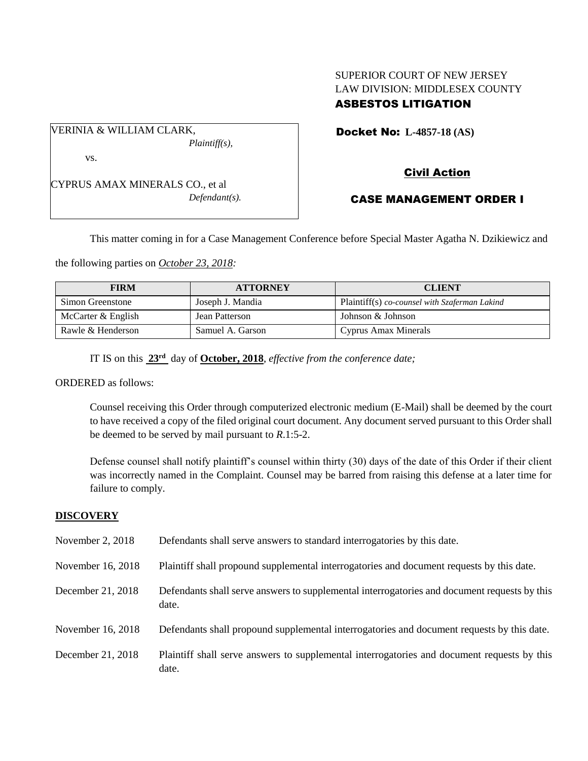# SUPERIOR COURT OF NEW JERSEY LAW DIVISION: MIDDLESEX COUNTY ASBESTOS LITIGATION

Docket No: **L-4857-18 (AS)** 

vs.

VERINIA & WILLIAM CLARK,

CYPRUS AMAX MINERALS CO., et al *Defendant(s).*

*Plaintiff(s),*

Civil Action

# CASE MANAGEMENT ORDER I

This matter coming in for a Case Management Conference before Special Master Agatha N. Dzikiewicz and

the following parties on *October 23, 2018:*

| <b>FIRM</b>        | <b>ATTORNEY</b>  | <b>CLIENT</b>                                 |
|--------------------|------------------|-----------------------------------------------|
| Simon Greenstone   | Joseph J. Mandia | Plaintiff(s) co-counsel with Szaferman Lakind |
| McCarter & English | Jean Patterson   | Johnson & Johnson                             |
| Rawle & Henderson  | Samuel A. Garson | Cyprus Amax Minerals                          |

IT IS on this **23rd** day of **October, 2018**, *effective from the conference date;*

ORDERED as follows:

Counsel receiving this Order through computerized electronic medium (E-Mail) shall be deemed by the court to have received a copy of the filed original court document. Any document served pursuant to this Order shall be deemed to be served by mail pursuant to *R*.1:5-2.

Defense counsel shall notify plaintiff's counsel within thirty (30) days of the date of this Order if their client was incorrectly named in the Complaint. Counsel may be barred from raising this defense at a later time for failure to comply.

## **DISCOVERY**

| November 2, $2018$ | Defendants shall serve answers to standard interrogatories by this date.                              |
|--------------------|-------------------------------------------------------------------------------------------------------|
| November 16, 2018  | Plaintiff shall propound supplemental interrogatories and document requests by this date.             |
| December 21, 2018  | Defendants shall serve answers to supplemental interrogatories and document requests by this<br>date. |
| November 16, 2018  | Defendants shall propound supplemental interrogatories and document requests by this date.            |
| December 21, 2018  | Plaintiff shall serve answers to supplemental interrogatories and document requests by this<br>date.  |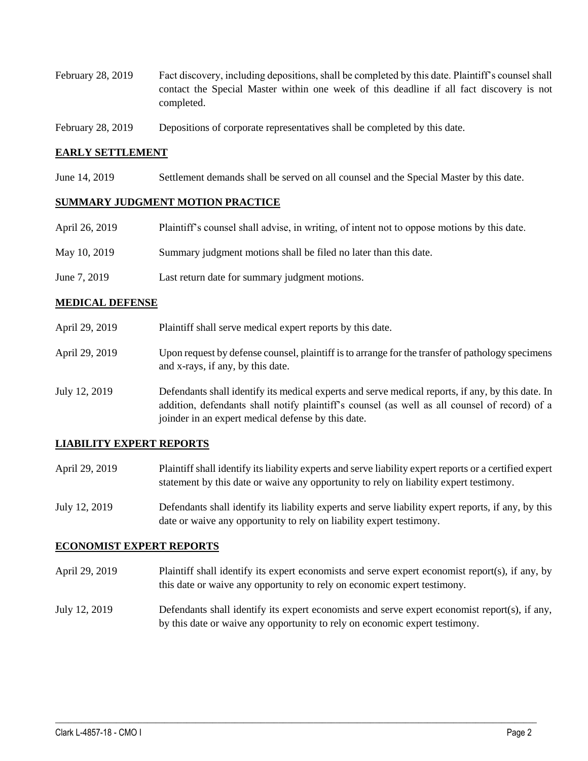- February 28, 2019 Fact discovery, including depositions, shall be completed by this date. Plaintiff's counsel shall contact the Special Master within one week of this deadline if all fact discovery is not completed.
- February 28, 2019 Depositions of corporate representatives shall be completed by this date.

### **EARLY SETTLEMENT**

June 14, 2019 Settlement demands shall be served on all counsel and the Special Master by this date.

#### **SUMMARY JUDGMENT MOTION PRACTICE**

| April 26, 2019 | Plaintiff's counsel shall advise, in writing, of intent not to oppose motions by this date. |
|----------------|---------------------------------------------------------------------------------------------|
| May 10, 2019   | Summary judgment motions shall be filed no later than this date.                            |
| June 7, 2019   | Last return date for summary judgment motions.                                              |

#### **MEDICAL DEFENSE**

- April 29, 2019 Plaintiff shall serve medical expert reports by this date.
- April 29, 2019 Upon request by defense counsel, plaintiff is to arrange for the transfer of pathology specimens and x-rays, if any, by this date.
- July 12, 2019 Defendants shall identify its medical experts and serve medical reports, if any, by this date. In addition, defendants shall notify plaintiff's counsel (as well as all counsel of record) of a joinder in an expert medical defense by this date.

### **LIABILITY EXPERT REPORTS**

- April 29, 2019 Plaintiff shall identify its liability experts and serve liability expert reports or a certified expert statement by this date or waive any opportunity to rely on liability expert testimony.
- July 12, 2019 Defendants shall identify its liability experts and serve liability expert reports, if any, by this date or waive any opportunity to rely on liability expert testimony.

#### **ECONOMIST EXPERT REPORTS**

- April 29, 2019 Plaintiff shall identify its expert economists and serve expert economist report(s), if any, by this date or waive any opportunity to rely on economic expert testimony.
- July 12, 2019 Defendants shall identify its expert economists and serve expert economist report(s), if any, by this date or waive any opportunity to rely on economic expert testimony.

 $\_$  ,  $\_$  ,  $\_$  ,  $\_$  ,  $\_$  ,  $\_$  ,  $\_$  ,  $\_$  ,  $\_$  ,  $\_$  ,  $\_$  ,  $\_$  ,  $\_$  ,  $\_$  ,  $\_$  ,  $\_$  ,  $\_$  ,  $\_$  ,  $\_$  ,  $\_$  ,  $\_$  ,  $\_$  ,  $\_$  ,  $\_$  ,  $\_$  ,  $\_$  ,  $\_$  ,  $\_$  ,  $\_$  ,  $\_$  ,  $\_$  ,  $\_$  ,  $\_$  ,  $\_$  ,  $\_$  ,  $\_$  ,  $\_$  ,